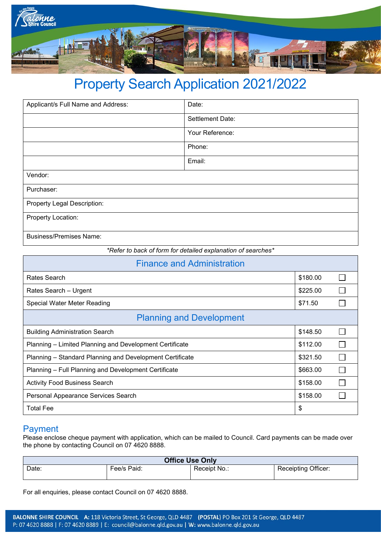

# Property Search Application 2021/2022

| Applicant/s Full Name and Address: | Date:            |  |  |  |
|------------------------------------|------------------|--|--|--|
|                                    | Settlement Date: |  |  |  |
|                                    | Your Reference:  |  |  |  |
|                                    | Phone:           |  |  |  |
|                                    | Email:           |  |  |  |
| Vendor:                            |                  |  |  |  |
| Purchaser:                         |                  |  |  |  |
| Property Legal Description:        |                  |  |  |  |
| Property Location:                 |                  |  |  |  |
| <b>Business/Premises Name:</b>     |                  |  |  |  |

*\*Refer to back of form for detailed explanation of searches\**

| <b>Finance and Administration</b>                        |          |  |  |  |
|----------------------------------------------------------|----------|--|--|--|
| Rates Search                                             |          |  |  |  |
| Rates Search - Urgent                                    |          |  |  |  |
| Special Water Meter Reading                              |          |  |  |  |
| <b>Planning and Development</b>                          |          |  |  |  |
| <b>Building Administration Search</b>                    | \$148.50 |  |  |  |
| Planning - Limited Planning and Development Certificate  |          |  |  |  |
| Planning – Standard Planning and Development Certificate |          |  |  |  |
| Planning - Full Planning and Development Certificate     |          |  |  |  |
| <b>Activity Food Business Search</b>                     |          |  |  |  |
| Personal Appearance Services Search                      |          |  |  |  |
| <b>Total Fee</b>                                         |          |  |  |  |

### Payment

Please enclose cheque payment with application, which can be mailed to Council. Card payments can be made over the phone by contacting Council on 07 4620 8888.

| <b>Office Use Only</b> |             |              |                            |  |
|------------------------|-------------|--------------|----------------------------|--|
| Date:                  | Fee/s Paid: | Receipt No.: | <b>Receipting Officer:</b> |  |

For all enquiries, please contact Council on 07 4620 8888.